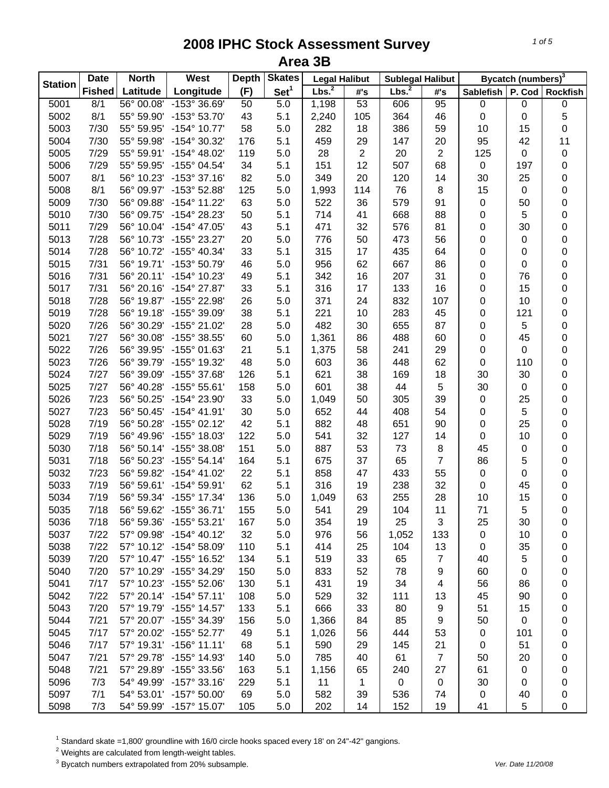| <b>Station</b> | <b>Date</b>   | <b>North</b> | West                    | <b>Depth</b> | <b>Skates</b>    | <b>Legal Halibut</b> |     | <b>Sublegal Halibut</b> |                |                  | Bycatch (numbers) <sup>3</sup> |                 |
|----------------|---------------|--------------|-------------------------|--------------|------------------|----------------------|-----|-------------------------|----------------|------------------|--------------------------------|-----------------|
|                | <b>Fished</b> | Latitude     | Longitude               | (F)          | Set <sup>1</sup> | Lbs. <sup>2</sup>    | #'s | Lbs. <sup>2</sup>       | #'s            | <b>Sablefish</b> | P. Cod                         | <b>Rockfish</b> |
| 5001           | 8/1           | 56° 00.08'   | -153° 36.69'            | 50           | $\overline{5.0}$ | 1,198                | 53  | 606                     | 95             | $\pmb{0}$        | 0                              | 0               |
| 5002           | 8/1           | 55° 59.90'   | -153° 53.70'            | 43           | 5.1              | 2,240                | 105 | 364                     | 46             | 0                | 0                              | 5               |
| 5003           | 7/30          | 55° 59.95'   | $-154^{\circ}$ 10.77'   | 58           | 5.0              | 282                  | 18  | 386                     | 59             | 10               | 15                             | 0               |
| 5004           | 7/30          | 55° 59.98'   | -154° 30.32'            | 176          | 5.1              | 459                  | 29  | 147                     | 20             | 95               | 42                             | 11              |
| 5005           | 7/29          | 55° 59.91'   | $-154^{\circ}$ 48.02'   | 119          | 5.0              | 28                   | 2   | 20                      | $\overline{2}$ | 125              | 0                              | 0               |
| 5006           | 7/29          | 55° 59.95'   | -155° 04.54'            | 34           | 5.1              | 151                  | 12  | 507                     | 68             | $\pmb{0}$        | 197                            | 0               |
| 5007           | 8/1           | 56° 10.23'   | $-153^{\circ}$ 37.16'   | 82           | 5.0              | 349                  | 20  | 120                     | 14             | 30               | 25                             | 0               |
| 5008           | 8/1           | 56° 09.97'   | -153° 52.88'            | 125          | 5.0              | 1,993                | 114 | 76                      | 8              | 15               | 0                              | 0               |
| 5009           | 7/30          | 56° 09.88'   | -154° 11.22'            | 63           | 5.0              | 522                  | 36  | 579                     | 91             | 0                | 50                             | 0               |
| 5010           | 7/30          | 56° 09.75'   | -154° 28.23'            | 50           | 5.1              | 714                  | 41  | 668                     | 88             | 0                | 5                              | 0               |
| 5011           | 7/29          | 56° 10.04'   | $-154^{\circ}$ 47.05'   | 43           | 5.1              | 471                  | 32  | 576                     | 81             | 0                | 30                             | 0               |
| 5013           | 7/28          | 56° 10.73'   | -155° 23.27'            | 20           | 5.0              | 776                  | 50  | 473                     | 56             | 0                | 0                              | 0               |
| 5014           | 7/28          | 56° 10.72'   | -155° 40.34'            | 33           | 5.1              | 315                  | 17  | 435                     | 64             | 0                | 0                              | 0               |
| 5015           | 7/31          | 56° 19.71'   | -153° 50.79'            | 46           | 5.0              | 956                  | 62  | 667                     | 86             | 0                | 0                              | 0               |
| 5016           | 7/31          |              | 56° 20.11' -154° 10.23' | 49           | 5.1              | 342                  | 16  | 207                     | 31             | 0                | 76                             | 0               |
| 5017           | 7/31          | 56° 20.16'   | $-154^{\circ}$ 27.87'   | 33           | 5.1              | 316                  | 17  | 133                     | 16             | 0                | 15                             | 0               |
| 5018           | 7/28          | 56° 19.87'   | -155° 22.98'            | 26           | 5.0              | 371                  | 24  | 832                     | 107            | 0                | 10                             | 0               |
| 5019           | 7/28          | 56° 19.18'   | -155° 39.09'            | 38           | 5.1              | 221                  | 10  | 283                     | 45             | 0                | 121                            | 0               |
| 5020           | 7/26          | 56° 30.29'   | -155° 21.02'            | 28           | 5.0              | 482                  | 30  | 655                     | 87             | 0                | 5                              | 0               |
| 5021           | 7/27          | 56° 30.08'   | -155° 38.55'            | 60           | 5.0              | 1,361                | 86  | 488                     | 60             | 0                | 45                             | 0               |
| 5022           | 7/26          | 56° 39.95'   | -155° 01.63'            | 21           | 5.1              | 1,375                | 58  | 241                     | 29             | $\mathbf 0$      | 0                              | 0               |
| 5023           | 7/26          | 56° 39.79'   | -155° 19.32'            | 48           | 5.0              | 603                  | 36  | 448                     | 62             | 0                | 110                            |                 |
|                | 7/27          | 56° 39.09'   | -155° 37.68'            | 126          | 5.1              | 621                  | 38  | 169                     | 18             | 30               | 30                             | 0               |
| 5024           | 7/27          | 56° 40.28'   | $-155^{\circ} 55.61'$   | 158          | 5.0              | 601                  |     | 44                      | 5              |                  |                                | 0               |
| 5025           |               |              |                         |              |                  |                      | 38  |                         |                | 30               | 0                              | 0               |
| 5026           | 7/23          | 56° 50.25'   | -154° 23.90'            | 33           | 5.0              | 1,049                | 50  | 305                     | 39             | $\pmb{0}$        | 25                             | 0               |
| 5027           | 7/23          | 56° 50.45'   | $-154^{\circ}$ 41.91'   | 30           | 5.0              | 652                  | 44  | 408                     | 54             | 0                | 5                              | 0               |
| 5028           | 7/19          | 56° 50.28'   | $-155^{\circ}$ 02.12'   | 42           | 5.1              | 882                  | 48  | 651                     | 90             | 0                | 25                             | 0               |
| 5029           | 7/19          | 56° 49.96'   | -155° 18.03'            | 122          | 5.0              | 541                  | 32  | 127                     | 14             | 0                | 10                             | 0               |
| 5030           | 7/18          | 56° 50.14'   | $-155^{\circ}$ 38.08'   | 151          | 5.0              | 887                  | 53  | 73                      | 8              | 45               | 0                              | 0               |
| 5031           | 7/18          | 56° 50.23'   | $-155^{\circ} 54.14'$   | 164          | 5.1              | 675                  | 37  | 65                      | 7              | 86               | 5                              | 0               |
| 5032           | 7/23          | 56° 59.82'   | $-154^{\circ}$ 41.02'   | 22           | 5.1              | 858                  | 47  | 433                     | 55             | 0                | 0                              | 0               |
| 5033           | 7/19          |              | 56° 59.61' -154° 59.91' | 62           | 5.1              | 316                  | 19  | 238                     | 32             | 0                | 45                             | 0               |
| 5034           | 7/19          |              | 56° 59.34' -155° 17.34' | 136          | 5.0              | 1,049                | 63  | 255                     | 28             | 10               | 15                             | 0               |
| 5035           | 7/18          |              | 56° 59.62' -155° 36.71' | 155          | 5.0              | 541                  | 29  | 104                     | 11             | 71               | 5                              | 0               |
| 5036           | 7/18          | 56° 59.36'   | $-155^{\circ}$ 53.21'   | 167          | 5.0              | 354                  | 19  | 25                      | 3              | 25               | 30                             | 0               |
| 5037           | 7/22          | 57° 09.98'   | $-154^{\circ}$ 40.12'   | 32           | 5.0              | 976                  | 56  | 1,052                   | 133            | 0                | 10                             | 0               |
| 5038           | 7/22          |              | 57° 10.12' -154° 58.09' | 110          | 5.1              | 414                  | 25  | 104                     | 13             | 0                | 35                             | 0               |
| 5039           | 7/20          |              | 57° 10.47' -155° 16.52' | 134          | 5.1              | 519                  | 33  | 65                      | $\overline{7}$ | 40               | 5                              | 0               |
| 5040           | 7/20          |              | 57° 10.29' -155° 34.29' | 150          | 5.0              | 833                  | 52  | 78                      | 9              | 60               | 0                              | 0               |
| 5041           | 7/17          |              | 57° 10.23' -155° 52.06' | 130          | 5.1              | 431                  | 19  | 34                      | 4              | 56               | 86                             | 0               |
| 5042           | 7/22          |              | 57° 20.14' -154° 57.11' | 108          | 5.0              | 529                  | 32  | 111                     | 13             | 45               | 90                             | 0               |
| 5043           | 7/20          |              | 57° 19.79' -155° 14.57' | 133          | 5.1              | 666                  | 33  | 80                      | 9              | 51               | 15                             | 0               |
| 5044           | 7/21          |              | 57° 20.07' -155° 34.39' | 156          | 5.0              | 1,366                | 84  | 85                      | 9              | 50               | 0                              | 0               |
| 5045           | 7/17          |              | 57° 20.02' -155° 52.77' | 49           | 5.1              | 1,026                | 56  | 444                     | 53             | 0                | 101                            | 0               |
| 5046           | 7/17          |              | 57° 19.31' -156° 11.11' | 68           | 5.1              | 590                  | 29  | 145                     | 21             | 0                | 51                             | 0               |
| 5047           | 7/21          | 57° 29.78'   | -155° 14.93'            | 140          | 5.0              | 785                  | 40  | 61                      | $\overline{7}$ | 50               | 20                             | 0               |
| 5048           | 7/21          | 57° 29.89'   | $-155^{\circ}$ 33.56'   | 163          | 5.1              | 1,156                | 65  | 240                     | 27             | 61               | 0                              | 0               |
| 5096           | 7/3           |              | 54° 49.99' -157° 33.16' | 229          | 5.1              | 11                   | 1   | $\pmb{0}$               | 0              | 30               | 0                              | 0               |
| 5097           | 7/1           |              | 54° 53.01' -157° 50.00' | 69           | 5.0              | 582                  | 39  | 536                     | 74             | 0                | 40                             | 0               |
| 5098           | 7/3           |              | 54° 59.99' -157° 15.07' | 105          | 5.0              | 202                  | 14  | 152                     | 19             | 41               | 5                              | 0               |

<sup>1</sup> Standard skate =1,800' groundline with 16/0 circle hooks spaced every 18' on 24"-42" gangions.<br><sup>2</sup> Weights are calculated from length-weight tables.<br><sup>3</sup> Bycatch numbers extrapolated from 20% subsample.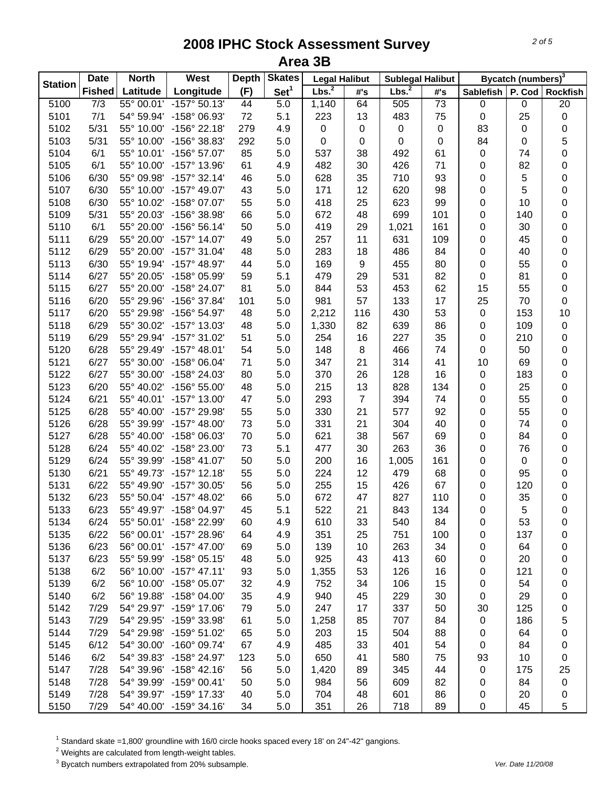| <b>Station</b> | <b>Date</b>      | <b>North</b> | West                    | <b>Depth</b>    | <b>Skates</b>    | <b>Legal Halibut</b> |     | <b>Sublegal Halibut</b> |           |                  | Bycatch (numbers) <sup>3</sup> |                 |
|----------------|------------------|--------------|-------------------------|-----------------|------------------|----------------------|-----|-------------------------|-----------|------------------|--------------------------------|-----------------|
|                | <b>Fished</b>    | Latitude     | Longitude               | (F)             | Set <sup>1</sup> | Lbs. <sup>2</sup>    | #'s | Lbs. <sup>2</sup>       | #'s       | <b>Sablefish</b> | P. Cod                         | <b>Rockfish</b> |
| 5100           | $\overline{7/3}$ | 55° 00.01'   | $-157^{\circ} 50.13'$   | $\overline{44}$ | $\overline{5.0}$ | 1,140                | 64  | 505                     | 73        | $\pmb{0}$        | 0                              | 20              |
| 5101           | 7/1              | 54° 59.94'   | -158° 06.93'            | 72              | 5.1              | 223                  | 13  | 483                     | 75        | 0                | 25                             | 0               |
| 5102           | 5/31             | 55° 10.00'   | $-156^{\circ}$ 22.18'   | 279             | 4.9              | 0                    | 0   | $\mathbf 0$             | $\pmb{0}$ | 83               | 0                              | 0               |
| 5103           | 5/31             | 55° 10.00'   | -156° 38.83'            | 292             | 5.0              | 0                    | 0   | $\pmb{0}$               | $\pmb{0}$ | 84               | 0                              | 5               |
| 5104           | 6/1              | 55° 10.01'   | $-156^{\circ} 57.07'$   | 85              | 5.0              | 537                  | 38  | 492                     | 61        | 0                | 74                             | 0               |
| 5105           | 6/1              | 55° 10.00'   | -157° 13.96'            | 61              | 4.9              | 482                  | 30  | 426                     | 71        | 0                | 82                             | 0               |
| 5106           | 6/30             | 55° 09.98'   | $-157^{\circ}$ 32.14'   | 46              | 5.0              | 628                  | 35  | 710                     | 93        | 0                | 5                              | 0               |
| 5107           | 6/30             | 55° 10.00'   | $-157^{\circ}$ 49.07'   | 43              | 5.0              | 171                  | 12  | 620                     | 98        | 0                | 5                              | 0               |
| 5108           | 6/30             | 55° 10.02'   | -158° 07.07'            | 55              | 5.0              | 418                  | 25  | 623                     | 99        | 0                | 10                             | 0               |
| 5109           | 5/31             | 55° 20.03'   | -156° 38.98'            | 66              | 5.0              | 672                  | 48  | 699                     | 101       | 0                | 140                            | 0               |
| 5110           | 6/1              | 55° 20.00'   | $-156^{\circ} 56.14'$   | 50              | 5.0              | 419                  | 29  | 1,021                   | 161       | 0                | 30                             | 0               |
| 5111           | 6/29             | 55° 20.00'   | $-157^{\circ}$ 14.07'   | 49              | 5.0              | 257                  | 11  | 631                     | 109       | 0                | 45                             | 0               |
| 5112           | 6/29             | 55° 20.00'   | $-157^{\circ}$ 31.04'   | 48              | 5.0              | 283                  | 18  | 486                     | 84        | 0                | 40                             | 0               |
| 5113           | 6/30             | 55° 19.94'   | $-157^{\circ}$ 48.97'   | 44              | 5.0              | 169                  | 9   | 455                     | 80        | 0                | 55                             | 0               |
| 5114           | 6/27             | 55° 20.05'   | -158° 05.99'            | 59              | 5.1              | 479                  | 29  | 531                     | 82        | 0                | 81                             | 0               |
| 5115           | 6/27             | 55° 20.00'   | -158° 24.07'            | 81              | 5.0              | 844                  | 53  | 453                     | 62        | 15               | 55                             | 0               |
| 5116           | 6/20             | 55° 29.96'   | -156° 37.84'            | 101             | 5.0              | 981                  | 57  | 133                     | 17        | 25               | 70                             | 0               |
| 5117           | 6/20             | 55° 29.98'   | -156° 54.97'            | 48              | 5.0              | 2,212                | 116 | 430                     | 53        | 0                | 153                            | 10              |
| 5118           | 6/29             | 55° 30.02'   | -157° 13.03'            | 48              | 5.0              | 1,330                | 82  | 639                     | 86        | 0                | 109                            | 0               |
| 5119           | 6/29             | 55° 29.94'   | -157° 31.02'            | 51              | 5.0              | 254                  | 16  | 227                     | 35        | 0                | 210                            | 0               |
| 5120           | 6/28             | 55° 29.49'   | $-157^{\circ}$ 48.01'   | 54              | 5.0              | 148                  | 8   | 466                     | 74        | 0                | 50                             | 0               |
| 5121           | 6/27             | 55° 30.00'   | $-158^{\circ}$ 06.04'   | 71              | 5.0              | 347                  | 21  | 314                     | 41        | 10               | 69                             | 0               |
| 5122           | 6/27             | 55° 30.00'   | -158° 24.03'            | 80              | 5.0              | 370                  | 26  | 128                     | 16        | $\pmb{0}$        | 183                            | 0               |
| 5123           | 6/20             |              | 55° 40.02' -156° 55.00' | 48              | 5.0              | 215                  | 13  | 828                     | 134       | 0                | 25                             | 0               |
| 5124           | 6/21             |              | 55° 40.01' -157° 13.00' | 47              | 5.0              | 293                  | 7   | 394                     | 74        | 0                | 55                             | 0               |
| 5125           | 6/28             | 55° 40.00'   | -157° 29.98'            | 55              | 5.0              | 330                  | 21  | 577                     | 92        | 0                | 55                             | 0               |
| 5126           | 6/28             | 55° 39.99'   | $-157^{\circ}$ 48.00'   | 73              | 5.0              | 331                  | 21  | 304                     | 40        | 0                | 74                             | 0               |
| 5127           | 6/28             | 55° 40.00'   | -158° 06.03'            | 70              | 5.0              | 621                  | 38  | 567                     | 69        | 0                | 84                             | 0               |
| 5128           | 6/24             | 55° 40.02'   | -158° 23.00'            | 73              | 5.1              | 477                  | 30  | 263                     | 36        | 0                | 76                             | 0               |
| 5129           | 6/24             | 55° 39.99'   | $-158^{\circ}$ 41.07'   | 50              | 5.0              | 200                  | 16  | 1,005                   | 161       | 0                | 0                              | 0               |
| 5130           | 6/21             | 55° 49.73'   | $-157^{\circ}$ 12.18'   | 55              | 5.0              | 224                  | 12  | 479                     | 68        | 0                | 95                             | 0               |
| 5131           | 6/22             | 55° 49.90'   | $-157^{\circ}$ 30.05'   | 56              | 5.0              | 255                  | 15  | 426                     | 67        | 0                | 120                            | 0               |
| 5132           | 6/23             |              | 55° 50.04' -157° 48.02' | 66              | 5.0              | 672                  | 47  | 827                     | 110       | 0                | 35                             | 0               |
| 5133           | 6/23             |              | 55° 49.97' -158° 04.97' | 45              | 5.1              | 522                  | 21  | 843                     | 134       | $\mathbf 0$      | 5                              | 0               |
| 5134           | 6/24             |              | 55° 50.01' -158° 22.99' | 60              | 4.9              | 610                  | 33  | 540                     | 84        | 0                | 53                             | 0               |
| 5135           | 6/22             |              | 56° 00.01' -157° 28.96' | 64              | 4.9              | 351                  | 25  | 751                     | 100       | 0                | 137                            | 0               |
| 5136           | 6/23             |              | 56° 00.01' -157° 47.00' | 69              | 5.0              | 139                  | 10  | 263                     | 34        | 0                | 64                             | 0               |
| 5137           | 6/23             |              | 55° 59.99' -158° 05.15' | 48              | 5.0              | 925                  | 43  | 413                     | 60        | 0                | 20                             | 0               |
| 5138           | 6/2              |              | 56° 10.00' -157° 47.11' | 93              | 5.0              | 1,355                | 53  | 126                     | 16        | 0                | 121                            | 0               |
| 5139           | 6/2              |              | 56° 10.00' -158° 05.07' | 32              | 4.9              | 752                  | 34  | 106                     | 15        | 0                | 54                             | 0               |
| 5140           | 6/2              |              | 56° 19.88' -158° 04.00' | 35              | 4.9              | 940                  | 45  | 229                     | 30        | 0                | 29                             | 0               |
| 5142           | 7/29             |              | 54° 29.97' -159° 17.06' | 79              | 5.0              | 247                  | 17  | 337                     | 50        | 30               | 125                            | 0               |
| 5143           | 7/29             | 54° 29.95'   | -159° 33.98'            | 61              | 5.0              | 1,258                | 85  | 707                     | 84        | $\boldsymbol{0}$ | 186                            | 5               |
| 5144           | 7/29             | 54° 29.98'   | $-159^{\circ} 51.02'$   | 65              | 5.0              | 203                  | 15  | 504                     | 88        | 0                | 64                             | 0               |
| 5145           | 6/12             | 54° 30.00'   | $-160^{\circ}$ 09.74'   | 67              | 4.9              | 485                  | 33  | 401                     | 54        | 0                | 84                             | 0               |
| 5146           | 6/2              | 54° 39.83'   | $-158^{\circ}$ 24.97'   | 123             | 5.0              | 650                  | 41  | 580                     | 75        | 93               | 10                             | 0               |
| 5147           | 7/28             | 54° 39.96'   | $-158^{\circ}$ 42.16'   | 56              | 5.0              | 1,420                | 89  | 345                     | 44        | 0                | 175                            | 25              |
| 5148           | 7/28             | 54° 39.99'   | $-159^{\circ}$ 00.41'   | 50              | 5.0              | 984                  | 56  | 609                     | 82        | 0                | 84                             | $\pmb{0}$       |
| 5149           | 7/28             |              | 54° 39.97' -159° 17.33' | 40              | 5.0              | 704                  | 48  | 601                     | 86        | 0                | 20                             | 0               |
| 5150           | 7/29             |              | 54° 40.00' -159° 34.16' | 34              | 5.0              | 351                  | 26  | 718                     | 89        | $\pmb{0}$        | 45                             | 5               |

 $^1$  Standard skate =1,800' groundline with 16/0 circle hooks spaced every 18' on 24"-42" gangions.<br><sup>2</sup> Weights are calculated from length-weight tables.

3 Bycatch numbers extrapolated from 20% subsample. *Ver. Date 11/20/08*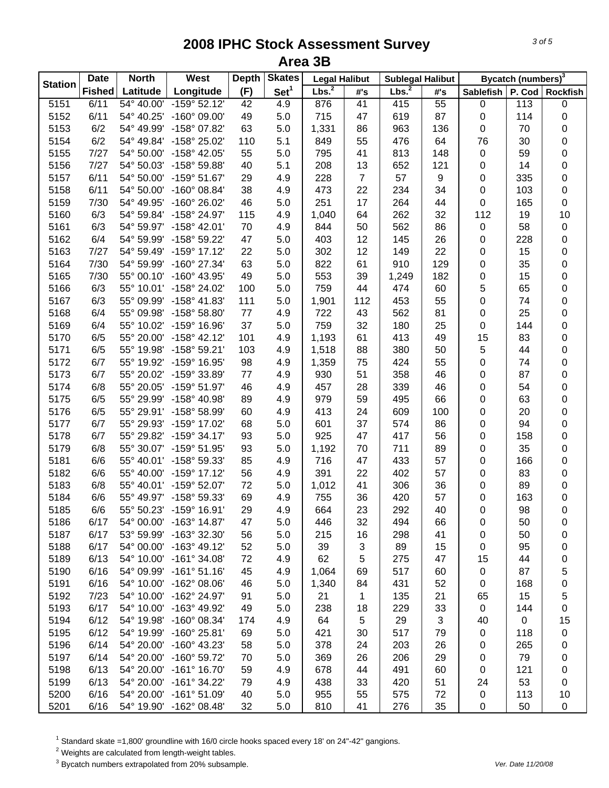| <b>Station</b> | <b>Date</b>   | <b>North</b> | West                  | <b>Depth</b> | <b>Skates</b>    | <b>Legal Halibut</b> |                | <b>Sublegal Halibut</b> |                 |                  | Bycatch (numbers) <sup>3</sup> |                 |
|----------------|---------------|--------------|-----------------------|--------------|------------------|----------------------|----------------|-------------------------|-----------------|------------------|--------------------------------|-----------------|
|                | <b>Fished</b> | Latitude     | Longitude             | (F)          | Set <sup>1</sup> | Lbs. <sup>2</sup>    | #'s            | Lbs. <sup>2</sup>       | #'s             | <b>Sablefish</b> | P. Cod                         | <b>Rockfish</b> |
| 5151           | 6/11          | 54° 40.00'   | $-159^{\circ} 52.12'$ | 42           | 4.9              | 876                  | 41             | 415                     | $\overline{55}$ | $\pmb{0}$        | 113                            | 0               |
| 5152           | 6/11          | 54° 40.25'   | -160° 09.00'          | 49           | 5.0              | 715                  | 47             | 619                     | 87              | 0                | 114                            | 0               |
| 5153           | 6/2           | 54° 49.99'   | -158° 07.82'          | 63           | 5.0              | 1,331                | 86             | 963                     | 136             | 0                | 70                             | 0               |
| 5154           | 6/2           | 54° 49.84'   | -158° 25.02'          | 110          | 5.1              | 849                  | 55             | 476                     | 64              | 76               | 30                             | 0               |
| 5155           | 7/27          | 54° 50.00'   | $-158^{\circ}$ 42.05' | 55           | 5.0              | 795                  | 41             | 813                     | 148             | 0                | 59                             | 0               |
| 5156           | 7/27          | 54° 50.03'   | -158° 59.88'          | 40           | 5.1              | 208                  | 13             | 652                     | 121             | 0                | 14                             | 0               |
| 5157           | 6/11          | 54° 50.00'   | $-159^{\circ} 51.67'$ | 29           | 4.9              | 228                  | $\overline{7}$ | 57                      | 9               | 0                | 335                            | 0               |
| 5158           | 6/11          | 54° 50.00'   | $-160^{\circ}$ 08.84' | 38           | 4.9              | 473                  | 22             | 234                     | 34              | 0                | 103                            | $\mathbf 0$     |
| 5159           | 7/30          | 54° 49.95'   | -160° 26.02'          | 46           | 5.0              | 251                  | 17             | 264                     | 44              | 0                | 165                            | $\mathbf 0$     |
| 5160           | 6/3           | 54° 59.84'   | -158° 24.97'          | 115          | 4.9              | 1,040                | 64             | 262                     | 32              | 112              | 19                             | 10              |
| 5161           | 6/3           | 54° 59.97'   | $-158^{\circ}$ 42.01' | 70           | 4.9              | 844                  | 50             | 562                     | 86              | 0                | 58                             | 0               |
| 5162           | 6/4           | 54° 59.99'   | -158° 59.22'          | 47           | 5.0              | 403                  | 12             | 145                     | 26              | 0                | 228                            | 0               |
| 5163           | 7/27          | 54° 59.49'   | $-159°$ 17.12'        | 22           | 5.0              | 302                  | 12             | 149                     | 22              | 0                | 15                             | $\pmb{0}$       |
| 5164           | 7/30          | 54° 59.99'   | -160° 27.34'          | 63           | 5.0              | 822                  | 61             | 910                     | 129             | 0                | 35                             | 0               |
| 5165           | 7/30          | 55° 00.10'   | $-160^{\circ}$ 43.95' | 49           | 5.0              | 553                  | 39             | 1,249                   | 182             | 0                | 15                             | $\bf{0}$        |
| 5166           | 6/3           | 55° 10.01'   | -158° 24.02'          | 100          | 5.0              | 759                  | 44             | 474                     | 60              | 5                | 65                             | 0               |
| 5167           | 6/3           | 55° 09.99'   | -158° 41.83'          | 111          | 5.0              | 1,901                | 112            | 453                     | 55              | 0                | 74                             | 0               |
| 5168           | 6/4           | 55° 09.98'   | $-158^{\circ} 58.80'$ | 77           | 4.9              | 722                  | 43             | 562                     | 81              | 0                | 25                             | 0               |
| 5169           | 6/4           | 55° 10.02'   | -159° 16.96'          | 37           | 5.0              | 759                  | 32             | 180                     | 25              | 0                | 144                            | 0               |
| 5170           | 6/5           | 55° 20.00'   | $-158^{\circ}$ 42.12' | 101          | 4.9              | 1,193                | 61             | 413                     | 49              | 15               | 83                             | 0               |
| 5171           | 6/5           | 55° 19.98'   | -158° 59.21'          | 103          | 4.9              | 1,518                | 88             | 380                     | 50              | 5                | 44                             | 0               |
| 5172           | 6/7           | 55° 19.92'   | -159° 16.95'          | 98           | 4.9              | 1,359                | 75             | 424                     | 55              | 0                | 74                             | 0               |
| 5173           | 6/7           | 55° 20.02'   | -159° 33.89'          | $77 \,$      | 4.9              | 930                  | 51             | 358                     | 46              | 0                | 87                             | 0               |
| 5174           | 6/8           | 55° 20.05'   | -159° 51.97'          | 46           | 4.9              | 457                  | 28             | 339                     | 46              | 0                | 54                             | 0               |
| 5175           | 6/5           | 55° 29.99'   | -158° 40.98'          | 89           | 4.9              | 979                  | 59             | 495                     | 66              | 0                | 63                             | 0               |
| 5176           | 6/5           | 55° 29.91'   | -158° 58.99'          | 60           | 4.9              | 413                  | 24             | 609                     | 100             | 0                | 20                             | 0               |
| 5177           | 6/7           | 55° 29.93'   | -159° 17.02'          | 68           | 5.0              | 601                  | 37             | 574                     | 86              | 0                | 94                             | 0               |
| 5178           | 6/7           | 55° 29.82'   | $-159°34.17'$         | 93           | 5.0              | 925                  | 47             | 417                     | 56              | 0                | 158                            | 0               |
| 5179           | 6/8           | 55° 30.07'   | -159° 51.95'          | 93           | 5.0              | 1,192                | 70             | 711                     | 89              | 0                | 35                             | $\pmb{0}$       |
| 5181           | 6/6           | 55° 40.01'   | -158° 59.33'          | 85           | 4.9              | 716                  | 47             | 433                     | 57              | 0                | 166                            | 0               |
| 5182           | 6/6           | 55° 40.00'   | $-159^{\circ}$ 17.12' | 56           | 4.9              | 391                  | 22             | 402                     | 57              | 0                | 83                             | 0               |
| 5183           | 6/8           | 55° 40.01'   | -159° 52.07'          | 72           | 5.0              | 1,012                | 41             | 306                     | 36              | 0                | 89                             | 0               |
| 5184           | 6/6           | 55° 49.97'   | -158° 59.33'          | 69           | 4.9              | 755                  | 36             | 420                     | 57              | 0                | 163                            | 0               |
| 5185           | 6/6           | 55° 50.23'   | $-159^{\circ}$ 16.91' | 29           | 4.9              | 664                  | 23             | 292                     | 40              | 0                | 98                             | $\mathbf 0$     |
| 5186           | 6/17          | 54° 00.00'   | $-163^\circ$ 14.87'   | 47           | 5.0              | 446                  | 32             | 494                     | 66              | 0                | 50                             | 0               |
| 5187           | 6/17          | 53° 59.99'   | -163° 32.30'          | 56           | 5.0              | 215                  | 16             | 298                     | 41              | 0                | 50                             | 0               |
| 5188           | 6/17          | 54° 00.00'   | $-163^{\circ}$ 49.12' | 52           | 5.0              | 39                   | 3              | 89                      | 15              | 0                | 95                             | 0               |
| 5189           | 6/13          | 54° 10.00'   | $-161°34.08'$         | 72           | 4.9              | 62                   | 5              | 275                     | 47              | 15               | 44                             | 0               |
| 5190           | 6/16          | 54° 09.99'   | $-161°51.16'$         | 45           | 4.9              | 1,064                | 69             | 517                     | 60              | 0                | 87                             | 5               |
| 5191           | 6/16          | 54° 10.00'   | $-162^{\circ}$ 08.06' | 46           | 5.0              | 1,340                | 84             | 431                     | 52              | 0                | 168                            | $\mathbf 0$     |
| 5192           | 7/23          | 54° 10.00'   | -162° 24.97'          | 91           | 5.0              | 21                   | 1              | 135                     | 21              | 65               | 15                             | 5               |
| 5193           | 6/17          | 54° 10.00'   | -163° 49.92'          | 49           | 5.0              | 238                  | 18             | 229                     | 33              | $\boldsymbol{0}$ | 144                            | 0               |
| 5194           | 6/12          | 54° 19.98'   | -160° 08.34'          | 174          | 4.9              | 64                   | 5              | 29                      | 3               | 40               | 0                              | 15              |
| 5195           | 6/12          | 54° 19.99'   | $-160^{\circ}$ 25.81' | 69           | 5.0              | 421                  | 30             | 517                     | 79              | 0                | 118                            | 0               |
| 5196           | 6/14          | 54° 20.00'   | $-160^{\circ}$ 43.23' | 58           | 5.0              | 378                  | 24             | 203                     | 26              | 0                | 265                            | 0               |
| 5197           | 6/14          | 54° 20.00'   | $-160^{\circ}$ 59.72' | 70           | 5.0              | 369                  | 26             | 206                     | 29              | 0                | 79                             | 0               |
| 5198           | 6/13          | 54° 20.00'   | $-161^{\circ}$ 16.70' | 59           | 4.9              | 678                  | 44             | 491                     | 60              | 0                | 121                            | 0               |
| 5199           | 6/13          | 54° 20.00'   | $-161°34.22'$         | 79           | 4.9              | 438                  | 33             | 420                     | 51              | 24               | 53                             | 0               |
| 5200           | 6/16          | 54° 20.00'   | $-161°51.09'$         | 40           | 5.0              | 955                  | 55             | 575                     | 72              | $\pmb{0}$        | 113                            | 10              |
| 5201           | 6/16          | 54° 19.90'   | $-162^{\circ}$ 08.48' | 32           | 5.0              | 810                  | 41             | 276                     | 35              | $\boldsymbol{0}$ | 50                             | $\mathbf 0$     |

 $^1$  Standard skate =1,800' groundline with 16/0 circle hooks spaced every 18' on 24"-42" gangions.<br><sup>2</sup> Weights are calculated from length-weight tables.

3 Bycatch numbers extrapolated from 20% subsample. *Ver. Date 11/20/08*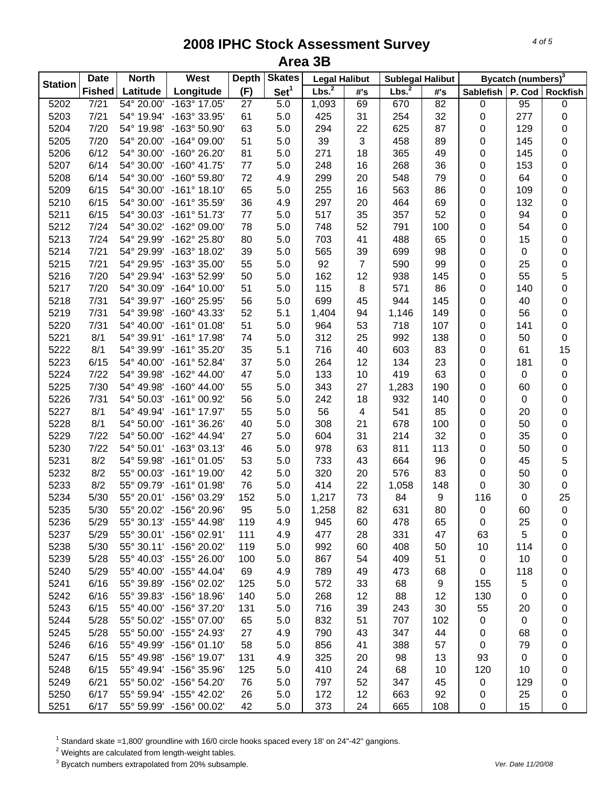| <b>Station</b> | <b>Date</b>   | <b>North</b> | West                    | <b>Depth</b> | <b>Skates</b>    | <b>Legal Halibut</b> |     | <b>Sublegal Halibut</b> |                 |                  | Bycatch (numbers) <sup>3</sup> |                 |
|----------------|---------------|--------------|-------------------------|--------------|------------------|----------------------|-----|-------------------------|-----------------|------------------|--------------------------------|-----------------|
|                | <b>Fished</b> | Latitude     | Longitude               | (F)          | Set <sup>1</sup> | Lbs. <sup>2</sup>    | #'s | Lbs. <sup>2</sup>       | #'s             | <b>Sablefish</b> | P. Cod                         | <b>Rockfish</b> |
| 5202           | 7/21          | 54° 20.00'   | -163° 17.05'            | 27           | $\overline{5.0}$ | 1,093                | 69  | 670                     | $\overline{82}$ | $\pmb{0}$        | 95                             | $\pmb{0}$       |
| 5203           | 7/21          | 54° 19.94'   | -163° 33.95'            | 61           | 5.0              | 425                  | 31  | 254                     | 32              | 0                | 277                            | 0               |
| 5204           | 7/20          | 54° 19.98'   | -163° 50.90'            | 63           | 5.0              | 294                  | 22  | 625                     | 87              | 0                | 129                            | 0               |
| 5205           | 7/20          | 54° 20.00'   | $-164^{\circ}$ 09.00'   | 51           | 5.0              | 39                   | 3   | 458                     | 89              | 0                | 145                            | 0               |
| 5206           | 6/12          | 54° 30.00'   | -160° 26.20'            | 81           | 5.0              | 271                  | 18  | 365                     | 49              | 0                | 145                            | 0               |
| 5207           | 6/14          | 54° 30.00'   | $-160^{\circ}$ 41.75'   | $77 \,$      | 5.0              | 248                  | 16  | 268                     | 36              | 0                | 153                            | 0               |
| 5208           | 6/14          | 54° 30.00'   | -160° 59.80'            | 72           | 4.9              | 299                  | 20  | 548                     | 79              | 0                | 64                             | 0               |
| 5209           | 6/15          | 54° 30.00'   | $-161^{\circ}$ 18.10'   | 65           | 5.0              | 255                  | 16  | 563                     | 86              | 0                | 109                            | 0               |
| 5210           | 6/15          | 54° 30.00'   | -161° 35.59'            | 36           | 4.9              | 297                  | 20  | 464                     | 69              | 0                | 132                            | 0               |
| 5211           | 6/15          | 54° 30.03'   | $-161°51.73'$           | $77 \,$      | 5.0              | 517                  | 35  | 357                     | 52              | 0                | 94                             | 0               |
| 5212           | 7/24          | 54° 30.02'   | -162° 09.00'            | 78           | 5.0              | 748                  | 52  | 791                     | 100             | 0                | 54                             | 0               |
| 5213           | 7/24          | 54° 29.99'   | -162° 25.80'            | 80           | 5.0              | 703                  | 41  | 488                     | 65              | 0                | 15                             | 0               |
| 5214           | 7/21          | 54° 29.99'   | -163° 18.02'            | 39           | 5.0              | 565                  | 39  | 699                     | 98              | 0                | 0                              | 0               |
| 5215           | 7/21          | 54° 29.95'   | -163° 35.00'            | 55           | 5.0              | 92                   | 7   | 590                     | 99              | 0                | 25                             | 0               |
| 5216           | 7/20          | 54° 29.94'   | -163° 52.99'            | 50           | 5.0              | 162                  | 12  | 938                     | 145             | 0                | 55                             | 5               |
| 5217           | 7/20          | 54° 30.09'   | $-164^{\circ}$ 10.00'   | 51           | 5.0              | 115                  | 8   | 571                     | 86              | 0                | 140                            | 0               |
| 5218           | 7/31          | 54° 39.97'   | -160° 25.95'            | 56           | 5.0              | 699                  | 45  | 944                     | 145             | 0                | 40                             | 0               |
| 5219           | 7/31          | 54° 39.98'   | $-160^{\circ}$ 43.33'   | 52           | 5.1              | 1,404                | 94  | 1,146                   | 149             | 0                | 56                             | 0               |
| 5220           | 7/31          | 54° 40.00'   | $-161°01.08'$           | 51           | 5.0              | 964                  | 53  | 718                     | 107             | 0                | 141                            | 0               |
| 5221           | 8/1           | 54° 39.91'   | $-161^{\circ}$ 17.98'   | 74           | 5.0              | 312                  | 25  | 992                     | 138             | 0                | 50                             | $\pmb{0}$       |
| 5222           | 8/1           | 54° 39.99'   | $-161°35.20'$           | 35           | 5.1              | 716                  | 40  | 603                     | 83              | 0                | 61                             | 15              |
| 5223           | 6/15          | 54° 40.00'   | $-161^{\circ}$ 52.84'   | 37           | 5.0              | 264                  | 12  | 134                     | 23              | 0                | 181                            | $\pmb{0}$       |
|                | 7/22          | 54° 39.98'   | $-162^{\circ}$ 44.00'   | 47           | 5.0              | 133                  | 10  | 419                     | 63              | 0                | 0                              |                 |
| 5224           | 7/30          | 54° 49.98'   | $-160^{\circ}$ 44.00'   |              | 5.0              | 343                  |     |                         |                 |                  |                                | 0               |
| 5225           |               |              |                         | 55           |                  |                      | 27  | 1,283                   | 190             | 0                | 60                             | 0               |
| 5226           | 7/31          | 54° 50.03'   | $-161^{\circ}$ 00.92'   | 56           | 5.0              | 242                  | 18  | 932                     | 140             | 0                | $\boldsymbol{0}$               | 0               |
| 5227           | 8/1           | 54° 49.94'   | -161° 17.97'            | 55           | 5.0              | 56                   | 4   | 541                     | 85              | 0                | 20                             | 0               |
| 5228           | 8/1           | 54° 50.00'   | $-161°36.26'$           | 40           | 5.0              | 308                  | 21  | 678                     | 100             | 0                | 50                             | 0               |
| 5229           | 7/22          | 54° 50.00'   | -162° 44.94'            | 27           | 5.0              | 604                  | 31  | 214                     | 32              | 0                | 35                             | 0               |
| 5230           | 7/22          | 54° 50.01'   | $-163^{\circ}$ 03.13'   | 46           | 5.0              | 978                  | 63  | 811                     | 113             | 0                | 50                             | 0               |
| 5231           | 8/2           | 54° 59.98'   | $-161°01.05'$           | 53           | 5.0              | 733                  | 43  | 664                     | 96              | 0                | 45                             | 5               |
| 5232           | 8/2           | 55° 00.03'   | $-161^{\circ}$ 19.00'   | 42           | 5.0              | 320                  | 20  | 576                     | 83              | 0                | 50                             | 0               |
| 5233           | 8/2           | 55° 09.79'   | $-161^{\circ}$ 01.98'   | 76           | 5.0              | 414                  | 22  | 1,058                   | 148             | 0                | 30                             | $\pmb{0}$       |
| 5234           | 5/30          |              | 55° 20.01' -156° 03.29' | 152          | 5.0              | 1,217                | 73  | 84                      | 9               | 116              | 0                              | 25              |
| 5235           | 5/30          |              | 55° 20.02' -156° 20.96' | 95           | 5.0              | 1,258                | 82  | 631                     | 80              | $\pmb{0}$        | 60                             | $\pmb{0}$       |
| 5236           | 5/29          |              | 55° 30.13' -155° 44.98' | 119          | 4.9              | 945                  | 60  | 478                     | 65              | 0                | 25                             | 0               |
| 5237           | 5/29          |              | 55° 30.01' -156° 02.91' | 111          | 4.9              | 477                  | 28  | 331                     | 47              | 63               | 5                              | 0               |
| 5238           | 5/30          |              | 55° 30.11' -156° 20.02' | 119          | 5.0              | 992                  | 60  | 408                     | 50              | 10               | 114                            | 0               |
| 5239           | 5/28          |              | 55° 40.03' -155° 26.00' | 100          | 5.0              | 867                  | 54  | 409                     | 51              | 0                | 10                             | 0               |
| 5240           | 5/29          |              | 55° 40.00' -155° 44.04' | 69           | 4.9              | 789                  | 49  | 473                     | 68              | 0                | 118                            | 0               |
| 5241           | 6/16          | 55° 39.89'   | $-156^{\circ}$ 02.02'   | 125          | 5.0              | 572                  | 33  | 68                      | 9               | 155              | 5                              | 0               |
| 5242           | 6/16          | 55° 39.83'   | $-156^{\circ}$ 18.96'   | 140          | 5.0              | 268                  | 12  | 88                      | 12              | 130              | 0                              | 0               |
| 5243           | 6/15          | 55° 40.00'   | -156° 37.20'            | 131          | 5.0              | 716                  | 39  | 243                     | 30              | 55               | 20                             | 0               |
| 5244           | 5/28          | 55° 50.02'   | -155° 07.00'            | 65           | 5.0              | 832                  | 51  | 707                     | 102             | 0                | 0                              | 0               |
| 5245           | 5/28          | 55° 50.00'   | -155° 24.93'            | 27           | 4.9              | 790                  | 43  | 347                     | 44              | 0                | 68                             | 0               |
| 5246           | 6/16          | 55° 49.99'   | $-156^{\circ}$ 01.10'   | 58           | 5.0              | 856                  | 41  | 388                     | 57              | 0                | 79                             | 0               |
| 5247           | 6/15          | 55° 49.98'   | -156° 19.07'            | 131          | 4.9              | 325                  | 20  | 98                      | 13              | 93               | 0                              | 0               |
| 5248           | 6/15          |              | 55° 49.94' -156° 35.96' | 125          | 5.0              | 410                  | 24  | 68                      | 10              | 120              | 10                             | 0               |
| 5249           | 6/21          |              | 55° 50.02' -156° 54.20' | 76           | 5.0              | 797                  | 52  | 347                     | 45              | 0                | 129                            | 0               |
| 5250           | 6/17          |              | 55° 59.94' -155° 42.02' | 26           | 5.0              | 172                  | 12  | 663                     | 92              | 0                | 25                             | 0               |
| 5251           | 6/17          |              | 55° 59.99' -156° 00.02' | 42           | 5.0              | 373                  | 24  | 665                     | 108             | 0                | 15                             | 0               |

 $^1$  Standard skate =1,800' groundline with 16/0 circle hooks spaced every 18' on 24"-42" gangions.<br><sup>2</sup> Weights are calculated from length-weight tables.

3 Bycatch numbers extrapolated from 20% subsample. *Ver. Date 11/20/08*